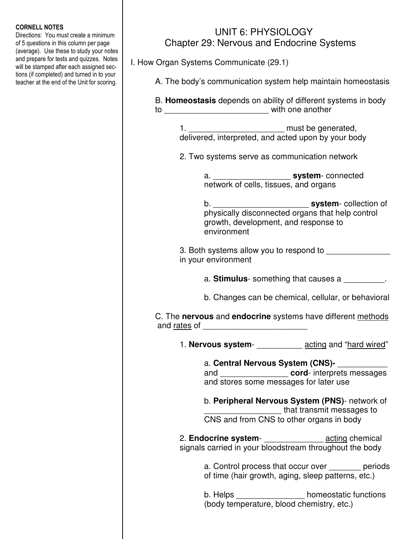## CORNELL NOTES

Directions: You must create a minimum of 5 questions in this column per page (average). Use these to study your notes and prepare for tests and quizzes. Notes will be stamped after each assigned sections (if completed) and turned in to your teacher at the end of the Unit for scoring.

## UNIT 6: PHYSIOLOGY Chapter 29: Nervous and Endocrine Systems

I. How Organ Systems Communicate (29.1)

A. The body's communication system help maintain homeostasis

 B. **Homeostasis** depends on ability of different systems in body to \_\_\_\_\_\_\_\_\_\_\_\_\_\_\_\_\_\_\_\_\_\_\_ with one another

> 1. \_\_\_\_\_\_\_\_\_\_\_\_\_\_\_\_\_\_\_\_\_ must be generated, delivered, interpreted, and acted upon by your body

2. Two systems serve as communication network

 a. \_\_\_\_\_\_\_\_\_\_\_\_\_\_\_\_\_ **system**- connected network of cells, tissues, and organs

 b. \_\_\_\_\_\_\_\_\_\_\_\_\_\_\_\_\_\_\_\_\_ **system**- collection of physically disconnected organs that help control growth, development, and response to environment

> 3. Both systems allow you to respond to in your environment

> > a. **Stimulus**- something that causes a \_\_\_\_\_\_\_\_\_.

b. Changes can be chemical, cellular, or behavioral

 C. The **nervous** and **endocrine** systems have different methods and rates of **and**  $\alpha$  and  $\alpha$  and  $\alpha$  and  $\alpha$  and  $\alpha$  and  $\alpha$  and  $\alpha$  and  $\alpha$  and  $\alpha$  and  $\alpha$  and  $\alpha$  and  $\alpha$  and  $\alpha$  and  $\alpha$  and  $\alpha$  and  $\alpha$  and  $\alpha$  and  $\alpha$  and  $\alpha$  and  $\alpha$  and  $\alpha$  and  $\alpha$  and  $\alpha$ 

1. **Nervous system**- \_\_\_\_\_\_\_\_\_\_ acting and "hard wired"

 a. **Central Nervous System (CNS)-** \_\_\_\_\_\_\_\_\_\_\_ and \_\_\_\_\_\_\_\_\_\_\_\_\_\_\_ **cord**- interprets messages and stores some messages for later use

 b. **Peripheral Nervous System (PNS)**- network of \_\_\_\_\_\_\_\_\_\_\_\_\_\_\_\_\_ that transmit messages to CNS and from CNS to other organs in body

 2. **Endocrine system**- \_\_\_\_\_\_\_\_\_\_\_\_\_ acting chemical signals carried in your bloodstream throughout the body

> a. Control process that occur over periods of time (hair growth, aging, sleep patterns, etc.)

b. Helps **b.** homeostatic functions (body temperature, blood chemistry, etc.)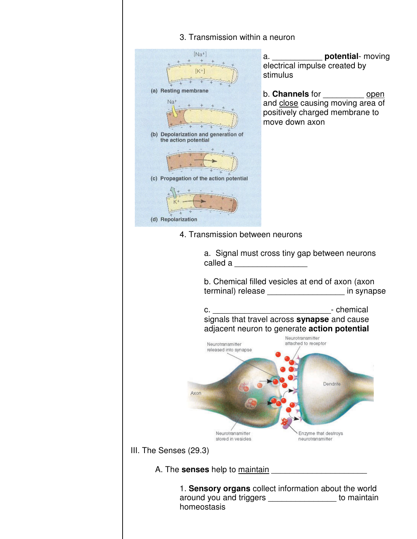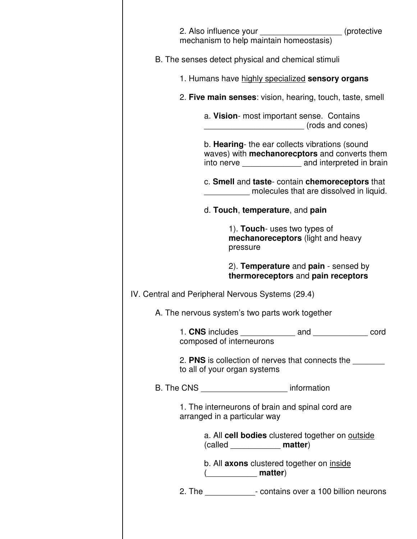| 2. Also influence your<br>mechanism to help maintain homeostasis)                                                                                                    | (protective) (interest)                 |
|----------------------------------------------------------------------------------------------------------------------------------------------------------------------|-----------------------------------------|
| B. The senses detect physical and chemical stimuli                                                                                                                   |                                         |
| 1. Humans have highly specialized sensory organs                                                                                                                     |                                         |
| 2. Five main senses: vision, hearing, touch, taste, smell                                                                                                            |                                         |
| a. Vision- most important sense. Contains                                                                                                                            | (rods and cones)                        |
| b. <b>Hearing</b> - the ear collects vibrations (sound<br>waves) with mechanorecptors and converts them<br>into nerve _____________________ and interpreted in brain |                                         |
| c. Smell and taste-contain chemoreceptors that                                                                                                                       | molecules that are dissolved in liquid. |
| d. Touch, temperature, and pain                                                                                                                                      |                                         |
| 1). Touch- uses two types of<br><b>mechanoreceptors</b> (light and heavy<br>pressure                                                                                 |                                         |
| 2). <b>Temperature</b> and <b>pain</b> - sensed by<br>thermoreceptors and pain receptors                                                                             |                                         |
| IV. Central and Peripheral Nervous Systems (29.4)                                                                                                                    |                                         |
| A. The nervous system's two parts work together                                                                                                                      |                                         |
| composed of interneurons                                                                                                                                             |                                         |
| 2. PNS is collection of nerves that connects the<br>to all of your organ systems                                                                                     |                                         |
| B. The CNS ___________________________ information                                                                                                                   |                                         |
| 1. The interneurons of brain and spinal cord are<br>arranged in a particular way                                                                                     |                                         |
| a. All cell bodies clustered together on outside<br>(called _______________ matter)                                                                                  |                                         |
| b. All axons clustered together on <i>inside</i><br>( <b><i>____________</i> matter</b> )                                                                            |                                         |
| 2. The _______________- contains over a 100 billion neurons                                                                                                          |                                         |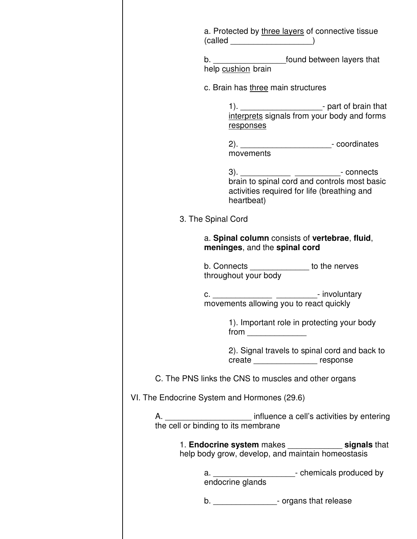| a. Protected by three layers of connective tissue<br>$(called \_ )$                                                |
|--------------------------------------------------------------------------------------------------------------------|
| b. __________________________found between layers that<br>help cushion brain                                       |
| c. Brain has three main structures                                                                                 |
| 1). ______________________________- part of brain that<br>interprets signals from your body and forms<br>responses |
| 2). ________________________________- coordinates<br>movements                                                     |
| brain to spinal cord and controls most basic<br>activities required for life (breathing and<br>heartbeat)          |
| 3. The Spinal Cord                                                                                                 |
| a. Spinal column consists of vertebrae, fluid,<br>meninges, and the spinal cord                                    |
| b. Connects ______________ to the nerves<br>throughout your body                                                   |
| c. ___________________________________- involuntary<br>movements allowing you to react quickly                     |
| 1). Important role in protecting your body                                                                         |
| 2). Signal travels to spinal cord and back to<br>create ___________________ response                               |
| C. The PNS links the CNS to muscles and other organs                                                               |
| VI. The Endocrine System and Hormones (29.6)                                                                       |
|                                                                                                                    |
| 1. Endocrine system makes _______________ signals that<br>help body grow, develop, and maintain homeostasis        |
| a. ________________________- chemicals produced by<br>endocrine glands                                             |
| b. ____________________- organs that release                                                                       |